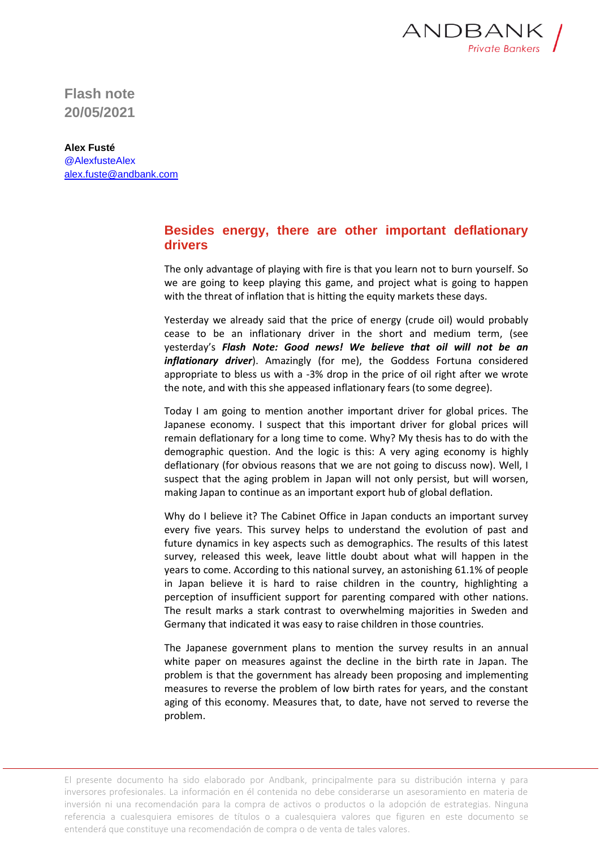

**Flash note 20/05/2021**

**Alex Fusté** @AlexfusteAlex [alex.fuste@andbank.com](mailto:alex.fuste@andbank.com)

## **Besides energy, there are other important deflationary drivers**

The only advantage of playing with fire is that you learn not to burn yourself. So we are going to keep playing this game, and project what is going to happen with the threat of inflation that is hitting the equity markets these days.

Yesterday we already said that the price of energy (crude oil) would probably cease to be an inflationary driver in the short and medium term, (see yesterday's *Flash Note: Good news! We believe that oil will not be an inflationary driver*). Amazingly (for me), the Goddess Fortuna considered appropriate to bless us with a -3% drop in the price of oil right after we wrote the note, and with this she appeased inflationary fears (to some degree).

Today I am going to mention another important driver for global prices. The Japanese economy. I suspect that this important driver for global prices will remain deflationary for a long time to come. Why? My thesis has to do with the demographic question. And the logic is this: A very aging economy is highly deflationary (for obvious reasons that we are not going to discuss now). Well, I suspect that the aging problem in Japan will not only persist, but will worsen, making Japan to continue as an important export hub of global deflation.

Why do I believe it? The Cabinet Office in Japan conducts an important survey every five years. This survey helps to understand the evolution of past and future dynamics in key aspects such as demographics. The results of this latest survey, released this week, leave little doubt about what will happen in the years to come. According to this national survey, an astonishing 61.1% of people in Japan believe it is hard to raise children in the country, highlighting a perception of insufficient support for parenting compared with other nations. The result marks a stark contrast to overwhelming majorities in Sweden and Germany that indicated it was easy to raise children in those countries.

The Japanese government plans to mention the survey results in an annual white paper on measures against the decline in the birth rate in Japan. The problem is that the government has already been proposing and implementing measures to reverse the problem of low birth rates for years, and the constant aging of this economy. Measures that, to date, have not served to reverse the problem.

El presente documento ha sido elaborado por Andbank, principalmente para su distribución interna y para inversores profesionales. La información en él contenida no debe considerarse un asesoramiento en materia de inversión ni una recomendación para la compra de activos o productos o la adopción de estrategias. Ninguna referencia a cualesquiera emisores de títulos o a cualesquiera valores que figuren en este documento se entenderá que constituye una recomendación de compra o de venta de tales valores.